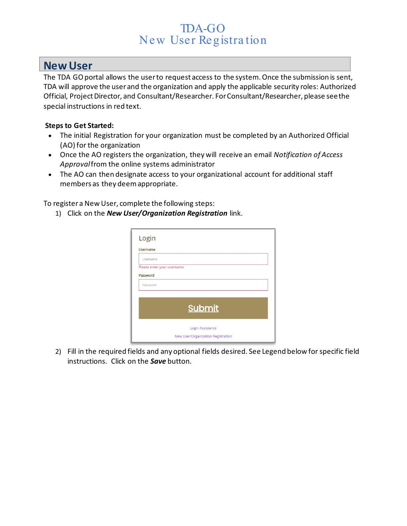# TDA-GO New User Registra tion

### **New User**

The TDA GO portal allows the user to request access to the system. Once the submission is sent, TDA will approve the user and the organization and apply the applicable security roles: Authorized Official, Project Director, and Consultant/Researcher. For Consultant/Researcher, please see the special instructions in red text.

#### **Steps to Get Started:**

- The initial Registration for your organization must be completed by an Authorized Official (AO) for the organization
- Once the AO registers the organization, they will receive an email *Notification of Access Approval*from the online systems administrator
- The AO can then designate access to your organizational account for additional staff members as they deem appropriate.

To register a New User, complete the following steps:

1) Click on the *New User/Organization Registration* link.

| <b>Username</b>            |                  |  |
|----------------------------|------------------|--|
| Username                   |                  |  |
| Please enter your username |                  |  |
| Password                   |                  |  |
| Password                   |                  |  |
|                            |                  |  |
|                            |                  |  |
|                            | <b>Submit</b>    |  |
|                            |                  |  |
|                            |                  |  |
|                            | Login Assistance |  |

2) Fill in the required fields and any optional fields desired. See Legend below for specific field instructions. Click on the *Save* button.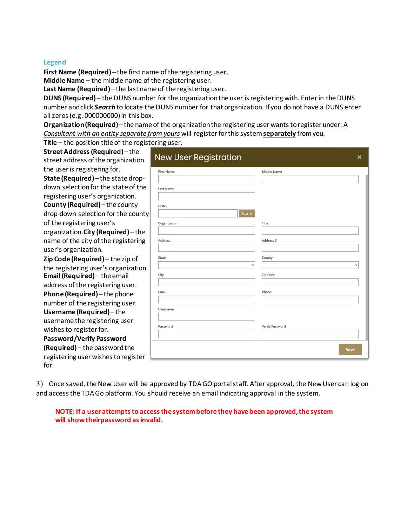#### **Legend**

**First Name (Required)**– the first name of the registering user.

**MiddleName** – the middle name of the registering user.

Last Name (Required) – the last name of the registering user.

**DUNS (Required)** – the DUNS number for the organization the user is registering with. Enter in the DUNS number andclick **Search** to locate the DUNS number for that organization. If you do not have a DUNS enter all zeros (e.g. 000000000) in this box.

**Organization(Required)**– the name of the organizationthe registering user wants to register under. A *Consultant with an entity separate from yours* will register for this system **separately** from you.

**Title** – the position title of the registering user.

| Street Address (Required)-the<br>street address of the organization | <b>New User Registration</b> | $\boldsymbol{\mathsf{x}}$ |
|---------------------------------------------------------------------|------------------------------|---------------------------|
| the user is registering for.                                        | <b>First Name</b>            | <b>Middle Name</b>        |
| State (Required) - the state drop-                                  |                              |                           |
| down selection for the state of the                                 | <b>Last Name</b>             |                           |
| registering user's organization.                                    |                              |                           |
| <b>County (Required)</b> – the county                               | <b>DUNS</b>                  |                           |
| drop-down selection for the county                                  | Search                       |                           |
| of the registering user's                                           | Organization                 | <b>Title</b>              |
| organization. City (Required)-the                                   |                              |                           |
| name of the city of the registering                                 | <b>Address</b>               | <b>Address 2</b>          |
| user's organization.                                                |                              |                           |
| Zip Code (Required) - the zip of                                    | <b>State</b>                 | County                    |
| the registering user's organization.                                |                              |                           |
| <b>Email (Required)</b> – the email                                 | City                         | <b>Zip Code</b>           |
| address of the registering user.                                    |                              |                           |
| Phone (Required) - the phone                                        | Email                        | Phone                     |
| number of the registering user.                                     |                              |                           |
| Username (Required)-the                                             | <b>Username</b>              |                           |
| username the registering user                                       |                              |                           |
| wishes to register for.                                             | Password                     | <b>Verify Password</b>    |
| Password/Verify Password                                            |                              |                           |
| (Required) - the password the                                       |                              | Save                      |
| registering user wishes to register<br>for.                         |                              |                           |

3) Once saved, the New User will be approved by TDA GO portal staff. After approval, the New User can log on and access the TDA Go platform. You should receive an email indicating approval in the system.

**NOTE: If a user attempts to access the system before they have been approved, the system will show theirpassword asinvalid.**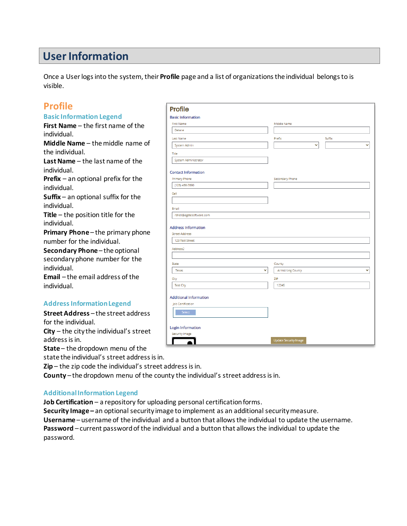# **UserInformation**

Once a Userlogs into the system, their **Profile** page and a list of organizationsthe individual belongsto is visible.

### **Profile**

#### **Basic Information Legend**

**First Name** – the first name of the individual. **Middle Name** – the middle name of

the individual.

**LastName** – the last name of the individual.

**Prefix** – an optional prefix for the individual.

**Suffix** – an optional suffix for the individual.

**Title** – the position title for the individual.

**Primary Phone-the primary phone** number for the individual.

**Secondary Phone** – the optional secondary phone number for the individual.

**Email** – the email address of the individual.

#### **AddressInformationLegend**

**Street Address** – the street address for the individual.

**City** – the city the individual's street address is in.

**State** – the dropdown menu of the

state the individual's street address is in.

**Zip** – the zip code the individual's street address is in.

**County** – the dropdown menu of the county the individual's street address isin.

#### **AdditionalInformation Legend**

**Job Certification** – a repository for uploading personal certification forms.

**Security Image –** an optional security image to implement as an additional securitymeasure. **Username** – username of the individual and a button that allowsthe individual to update the username. **Password** – current passwordof the individual and a button that allowsthe individual to update the password.

| <b>Basic Information</b><br><b>First Name</b><br>Middle Name<br>Delane<br>Last Name<br>Prefix<br>Suffix<br>System Admin<br>v<br>Title<br>System Administrator<br><b>Contact Information</b><br>Primary Phone<br>Secondary Phone<br>(123) 456-7890<br>Cell<br>Email<br>rshell@agatesoftware.com<br><b>Address Information</b><br><b>Street Address</b><br>123 Test Street<br>Address2<br>State<br>County<br>Texas<br><b>Armstrong County</b><br>$\checkmark$<br>City<br>ZIP<br><b>Test City</b><br>12345<br><b>Additional Information</b><br>Job Certification<br>Select<br><b>Login Information</b><br>Security Image | <b>Profile</b> |                              |  |              |
|-----------------------------------------------------------------------------------------------------------------------------------------------------------------------------------------------------------------------------------------------------------------------------------------------------------------------------------------------------------------------------------------------------------------------------------------------------------------------------------------------------------------------------------------------------------------------------------------------------------------------|----------------|------------------------------|--|--------------|
|                                                                                                                                                                                                                                                                                                                                                                                                                                                                                                                                                                                                                       |                |                              |  |              |
|                                                                                                                                                                                                                                                                                                                                                                                                                                                                                                                                                                                                                       |                |                              |  |              |
|                                                                                                                                                                                                                                                                                                                                                                                                                                                                                                                                                                                                                       |                |                              |  |              |
|                                                                                                                                                                                                                                                                                                                                                                                                                                                                                                                                                                                                                       |                |                              |  |              |
|                                                                                                                                                                                                                                                                                                                                                                                                                                                                                                                                                                                                                       |                |                              |  | $\checkmark$ |
|                                                                                                                                                                                                                                                                                                                                                                                                                                                                                                                                                                                                                       |                |                              |  |              |
|                                                                                                                                                                                                                                                                                                                                                                                                                                                                                                                                                                                                                       |                |                              |  |              |
|                                                                                                                                                                                                                                                                                                                                                                                                                                                                                                                                                                                                                       |                |                              |  |              |
|                                                                                                                                                                                                                                                                                                                                                                                                                                                                                                                                                                                                                       |                |                              |  |              |
|                                                                                                                                                                                                                                                                                                                                                                                                                                                                                                                                                                                                                       |                |                              |  |              |
|                                                                                                                                                                                                                                                                                                                                                                                                                                                                                                                                                                                                                       |                |                              |  |              |
|                                                                                                                                                                                                                                                                                                                                                                                                                                                                                                                                                                                                                       |                |                              |  |              |
|                                                                                                                                                                                                                                                                                                                                                                                                                                                                                                                                                                                                                       |                |                              |  |              |
|                                                                                                                                                                                                                                                                                                                                                                                                                                                                                                                                                                                                                       |                |                              |  |              |
|                                                                                                                                                                                                                                                                                                                                                                                                                                                                                                                                                                                                                       |                |                              |  |              |
|                                                                                                                                                                                                                                                                                                                                                                                                                                                                                                                                                                                                                       |                |                              |  |              |
|                                                                                                                                                                                                                                                                                                                                                                                                                                                                                                                                                                                                                       |                |                              |  |              |
|                                                                                                                                                                                                                                                                                                                                                                                                                                                                                                                                                                                                                       |                |                              |  | $\checkmark$ |
|                                                                                                                                                                                                                                                                                                                                                                                                                                                                                                                                                                                                                       |                |                              |  |              |
|                                                                                                                                                                                                                                                                                                                                                                                                                                                                                                                                                                                                                       |                |                              |  |              |
|                                                                                                                                                                                                                                                                                                                                                                                                                                                                                                                                                                                                                       |                |                              |  |              |
|                                                                                                                                                                                                                                                                                                                                                                                                                                                                                                                                                                                                                       |                |                              |  |              |
|                                                                                                                                                                                                                                                                                                                                                                                                                                                                                                                                                                                                                       |                |                              |  |              |
|                                                                                                                                                                                                                                                                                                                                                                                                                                                                                                                                                                                                                       |                |                              |  |              |
|                                                                                                                                                                                                                                                                                                                                                                                                                                                                                                                                                                                                                       |                | <b>Update Security Image</b> |  |              |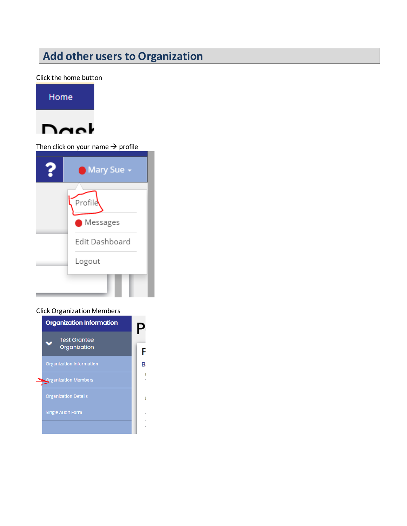# **Add other users to Organization**

Click the home button



Then click on your name  $\rightarrow$  profile

| ?                  | <b>O</b> Mary Sue $\sim$ |  |  |  |
|--------------------|--------------------------|--|--|--|
|                    | Profile                  |  |  |  |
| $\bullet$ Messages |                          |  |  |  |
|                    | Edit Dashboard           |  |  |  |
| Logout             |                          |  |  |  |
|                    |                          |  |  |  |

#### Click Organization Members